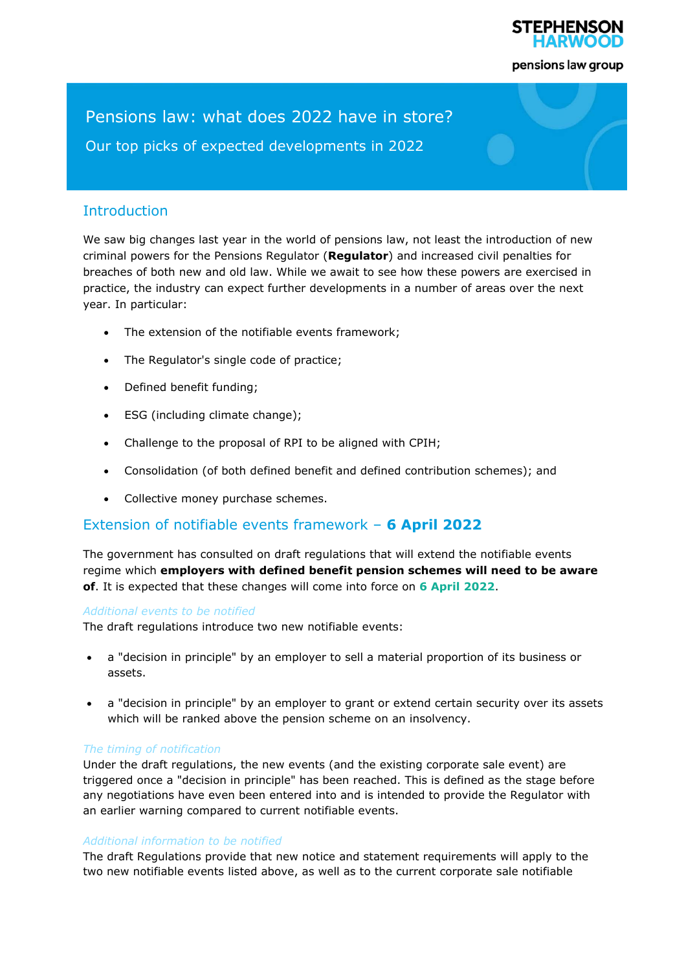

pensions law group

# Pensions law: what does 2022 have in store?

Our top picks of expected developments in 2022

# **Introduction**

We saw big changes last year in the world of pensions law, not least the introduction of new criminal powers for the Pensions Regulator (**Regulator**) and increased civil penalties for breaches of both new and old law. While we await to see how these powers are exercised in practice, the industry can expect further developments in a number of areas over the next year. In particular:

- The extension of the notifiable events framework;
- The Regulator's single code of practice;
- Defined benefit funding;
- ESG (including climate change);
- Challenge to the proposal of RPI to be aligned with CPIH;
- Consolidation (of both defined benefit and defined contribution schemes); and
- Collective money purchase schemes.

# Extension of notifiable events framework – **6 April 2022**

The government has consulted on draft regulations that will extend the notifiable events regime which **employers with defined benefit pension schemes will need to be aware of**. It is expected that these changes will come into force on **6 April 2022**.

#### *Additional events to be notified*

The draft regulations introduce two new notifiable events:

- a "decision in principle" by an employer to sell a material proportion of its business or assets.
- a "decision in principle" by an employer to grant or extend certain security over its assets which will be ranked above the pension scheme on an insolvency.

## *The timing of notification*

Under the draft regulations, the new events (and the existing corporate sale event) are triggered once a "decision in principle" has been reached. This is defined as the stage before any negotiations have even been entered into and is intended to provide the Regulator with an earlier warning compared to current notifiable events.

## *Additional information to be notified*

The draft Regulations provide that new notice and statement requirements will apply to the two new notifiable events listed above, as well as to the current corporate sale notifiable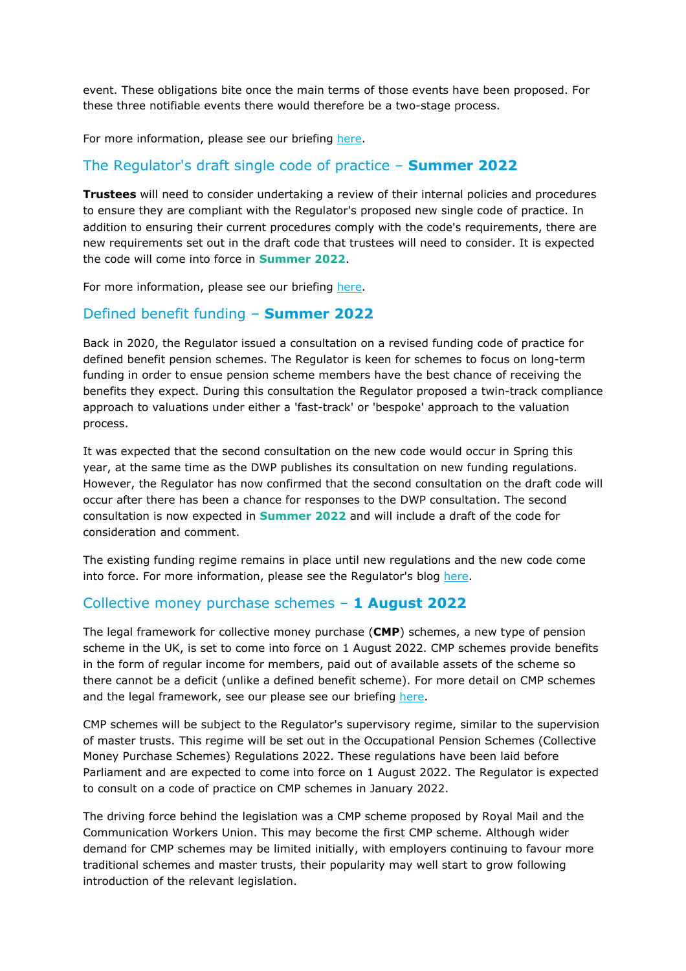event. These obligations bite once the main terms of those events have been proposed. For these three notifiable events there would therefore be a two-stage process.

For more information, please see our briefing here.

## The Regulator's draft single code of practice – **Summer 2022**

**Trustees** will need to consider undertaking a review of their internal policies and procedures to ensure they are compliant with the Regulator's proposed new single code of practice. In addition to ensuring their current procedures comply with the code's requirements, there are new requirements set out in the draft code that trustees will need to consider. It is expected the code will come into force in **Summer 2022**.

For more information, please see our briefin[g here.](https://www.pensionshub.com/sites/default/files/pdf/Draft Single Code of Practice_ SH.PDF) 

## Defined benefit funding – **Summer 2022**

Back in 2020, the Regulator issued a consultation on a revised funding code of practice for defined benefit pension schemes. The Regulator is keen for schemes to focus on long-term funding in order to ensue pension scheme members have the best chance of receiving the benefits they expect. During this consultation the Regulator proposed a twin-track compliance approach to valuations under either a 'fast-track' or 'bespoke' approach to the valuation process.

It was expected that the second consultation on the new code would occur in Spring this year, at the same time as the DWP publishes its consultation on new funding regulations. However, the Regulator has now confirmed that the second consultation on the draft code will occur after there has been a chance for responses to the DWP consultation. The second consultation is now expected in **Summer 2022** and will include a draft of the code for consideration and comment.

The existing funding regime remains in place until new regulations and the new code come into force. For more information, please see the Regulator's blo[g here.](https://blog.thepensionsregulator.gov.uk/2021/12/15/db-code-taking-the-time-to-deliver-the-right-funding-measures/) 

## Collective money purchase schemes – **1 August 2022**

The legal framework for collective money purchase (**CMP**) schemes, a new type of pension scheme in the UK, is set to come into force on 1 August 2022. CMP schemes provide benefits in the form of regular income for members, paid out of available assets of the scheme so there cannot be a deficit (unlike a defined benefit scheme). For more detail on CMP schemes and the legal framework, see our please see our briefin[g here.](https://www.pensionshub.com/sites/default/files/pdf/Pension Scheme Act 2021 briefing.pdf) 

CMP schemes will be subject to the Regulator's supervisory regime, similar to the supervision of master trusts. This regime will be set out in the Occupational Pension Schemes (Collective Money Purchase Schemes) Regulations 2022. These regulations have been laid before Parliament and are expected to come into force on 1 August 2022. The Regulator is expected to consult on a code of practice on CMP schemes in January 2022.

The driving force behind the legislation was a CMP scheme proposed by Royal Mail and the Communication Workers Union. This may become the first CMP scheme. Although wider demand for CMP schemes may be limited initially, with employers continuing to favour more traditional schemes and master trusts, their popularity may well start to grow following introduction of the relevant legislation.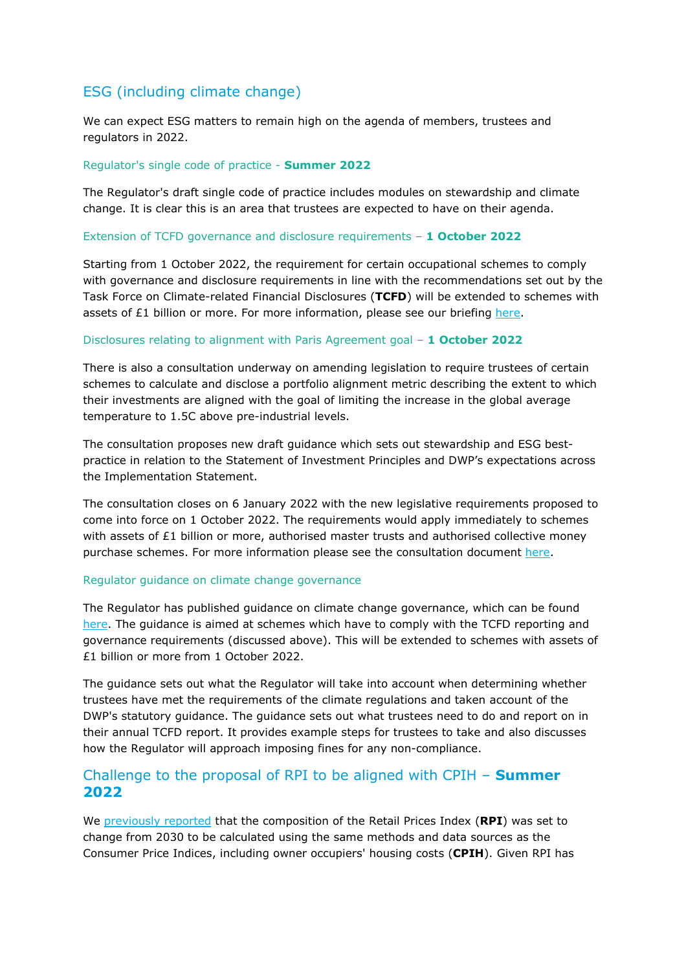# ESG (including climate change)

We can expect ESG matters to remain high on the agenda of members, trustees and regulators in 2022.

#### Regulator's single code of practice - **Summer 2022**

The Regulator's draft single code of practice includes modules on stewardship and climate change. It is clear this is an area that trustees are expected to have on their agenda.

#### Extension of TCFD governance and disclosure requirements – **1 October 2022**

Starting from 1 October 2022, the requirement for certain occupational schemes to comply with governance and disclosure requirements in line with the recommendations set out by the Task Force on Climate-related Financial Disclosures (**TCFD**) will be extended to schemes with assets of  $£1$  billion or more. For more information, please see our briefing here.

#### Disclosures relating to alignment with Paris Agreement goal – **1 October 2022**

There is also a consultation underway on amending legislation to require trustees of certain schemes to calculate and disclose a portfolio alignment metric describing the extent to which their investments are aligned with the goal of limiting the increase in the global average temperature to 1.5C above pre-industrial levels.

The consultation proposes new draft guidance which sets out stewardship and ESG bestpractice in relation to the Statement of Investment Principles and DWP's expectations across the Implementation Statement.

The consultation closes on 6 January 2022 with the new legislative requirements proposed to come into force on 1 October 2022. The requirements would apply immediately to schemes with assets of  $E1$  billion or more, authorised master trusts and authorised collective money purchase schemes. For more information please see the consultation document [here.](https://assets.publishing.service.gov.uk/government/uploads/system/uploads/attachment_data/file/1028820/climate-investment-reporting-consultation.pdf) 

#### Regulator guidance on climate change governance

The Regulator has published guidance on climate change governance, which can be found [here. T](https://www.thepensionsregulator.gov.uk/en/document-library/regulatory-guidance/climate-related-governance-and-reporting)he guidance is aimed at schemes which have to comply with the TCFD reporting and governance requirements (discussed above). This will be extended to schemes with assets of £1 billion or more from 1 October 2022.

The guidance sets out what the Regulator will take into account when determining whether trustees have met the requirements of the climate regulations and taken account of the DWP's statutory guidance. The guidance sets out what trustees need to do and report on in their annual TCFD report. It provides example steps for trustees to take and also discusses how the Regulator will approach imposing fines for any non-compliance.

## Challenge to the proposal of RPI to be aligned with CPIH – **Summer 2022**

W[e previously reported tha](https://www.pensionshub.com/insight/composition-retail-prices-index-set-change)t the composition of the Retail Prices Index (**RPI**) was set to change from 2030 to be calculated using the same methods and data sources as the Consumer Price Indices, including owner occupiers' housing costs (**CPIH**). Given RPI has